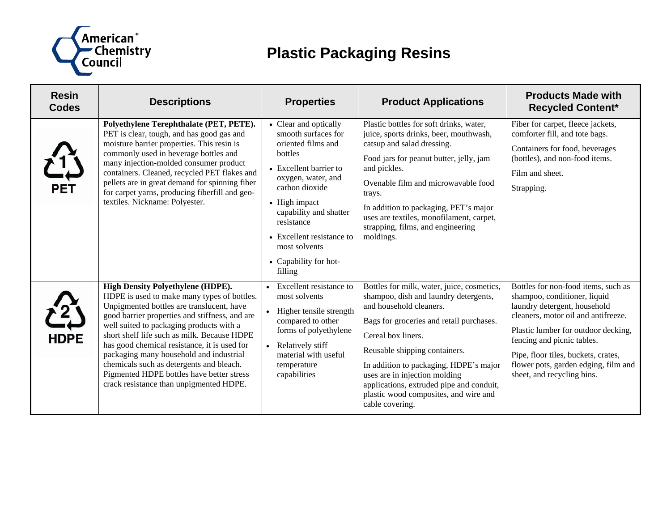

## **Plastic Packaging Resins**

| <b>Resin</b><br><b>Codes</b> | <b>Descriptions</b>                                                                                                                                                                                                                                                                                                                                                                                                                                                                                              | <b>Properties</b>                                                                                                                                                                                                                                                                          | <b>Product Applications</b>                                                                                                                                                                                                                                                                                                                                                                          | <b>Products Made with</b><br><b>Recycled Content*</b>                                                                                                                                                                                                                                                                        |
|------------------------------|------------------------------------------------------------------------------------------------------------------------------------------------------------------------------------------------------------------------------------------------------------------------------------------------------------------------------------------------------------------------------------------------------------------------------------------------------------------------------------------------------------------|--------------------------------------------------------------------------------------------------------------------------------------------------------------------------------------------------------------------------------------------------------------------------------------------|------------------------------------------------------------------------------------------------------------------------------------------------------------------------------------------------------------------------------------------------------------------------------------------------------------------------------------------------------------------------------------------------------|------------------------------------------------------------------------------------------------------------------------------------------------------------------------------------------------------------------------------------------------------------------------------------------------------------------------------|
| <b>PET</b>                   | Polyethylene Terephthalate (PET, PETE).<br>PET is clear, tough, and has good gas and<br>moisture barrier properties. This resin is<br>commonly used in beverage bottles and<br>many injection-molded consumer product<br>containers. Cleaned, recycled PET flakes and<br>pellets are in great demand for spinning fiber<br>for carpet yarns, producing fiberfill and geo-<br>textiles. Nickname: Polyester.                                                                                                      | • Clear and optically<br>smooth surfaces for<br>oriented films and<br>bottles<br>• Excellent barrier to<br>oxygen, water, and<br>carbon dioxide<br>• High impact<br>capability and shatter<br>resistance<br>• Excellent resistance to<br>most solvents<br>• Capability for hot-<br>filling | Plastic bottles for soft drinks, water,<br>juice, sports drinks, beer, mouthwash,<br>catsup and salad dressing.<br>Food jars for peanut butter, jelly, jam<br>and pickles.<br>Ovenable film and microwavable food<br>trays.<br>In addition to packaging, PET's major<br>uses are textiles, monofilament, carpet,<br>strapping, films, and engineering<br>moldings.                                   | Fiber for carpet, fleece jackets,<br>comforter fill, and tote bags.<br>Containers for food, beverages<br>(bottles), and non-food items.<br>Film and sheet.<br>Strapping.                                                                                                                                                     |
| <b>HDPE</b>                  | <b>High Density Polyethylene (HDPE).</b><br>HDPE is used to make many types of bottles.<br>Unpigmented bottles are translucent, have<br>good barrier properties and stiffness, and are<br>well suited to packaging products with a<br>short shelf life such as milk. Because HDPE<br>has good chemical resistance, it is used for<br>packaging many household and industrial<br>chemicals such as detergents and bleach.<br>Pigmented HDPE bottles have better stress<br>crack resistance than unpigmented HDPE. | • Excellent resistance to<br>most solvents<br>• Higher tensile strength<br>compared to other<br>forms of polyethylene<br>• Relatively stiff<br>material with useful<br>temperature<br>capabilities                                                                                         | Bottles for milk, water, juice, cosmetics,<br>shampoo, dish and laundry detergents,<br>and household cleaners.<br>Bags for groceries and retail purchases.<br>Cereal box liners.<br>Reusable shipping containers.<br>In addition to packaging, HDPE's major<br>uses are in injection molding<br>applications, extruded pipe and conduit,<br>plastic wood composites, and wire and<br>cable covering. | Bottles for non-food items, such as<br>shampoo, conditioner, liquid<br>laundry detergent, household<br>cleaners, motor oil and antifreeze.<br>Plastic lumber for outdoor decking,<br>fencing and picnic tables.<br>Pipe, floor tiles, buckets, crates,<br>flower pots, garden edging, film and<br>sheet, and recycling bins. |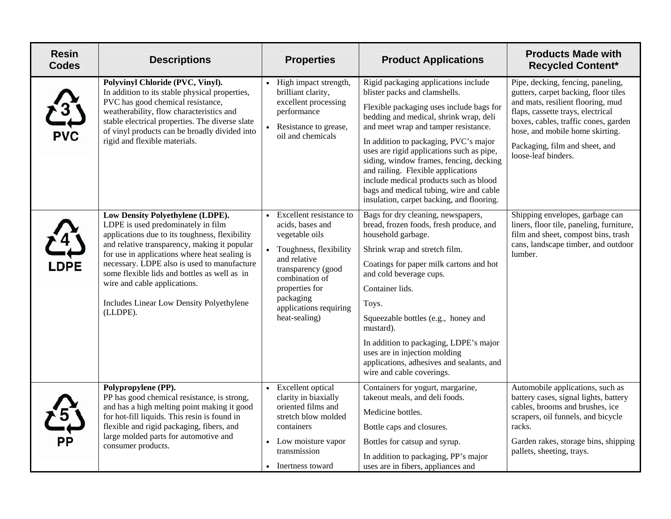| <b>Resin</b><br><b>Codes</b> | <b>Descriptions</b>                                                                                                                                                                                                                                                                                                                                                                                              | <b>Properties</b>                                                                                                                                                                                                             | <b>Product Applications</b>                                                                                                                                                                                                                                                                                                                                                                                                                                                                                  | <b>Products Made with</b><br><b>Recycled Content*</b>                                                                                                                                                                                                                                   |
|------------------------------|------------------------------------------------------------------------------------------------------------------------------------------------------------------------------------------------------------------------------------------------------------------------------------------------------------------------------------------------------------------------------------------------------------------|-------------------------------------------------------------------------------------------------------------------------------------------------------------------------------------------------------------------------------|--------------------------------------------------------------------------------------------------------------------------------------------------------------------------------------------------------------------------------------------------------------------------------------------------------------------------------------------------------------------------------------------------------------------------------------------------------------------------------------------------------------|-----------------------------------------------------------------------------------------------------------------------------------------------------------------------------------------------------------------------------------------------------------------------------------------|
| <b>PVC</b>                   | Polyvinyl Chloride (PVC, Vinyl).<br>In addition to its stable physical properties,<br>PVC has good chemical resistance,<br>weatherability, flow characteristics and<br>stable electrical properties. The diverse slate<br>of vinyl products can be broadly divided into<br>rigid and flexible materials.                                                                                                         | • High impact strength,<br>brilliant clarity,<br>excellent processing<br>performance<br>Resistance to grease,<br>oil and chemicals                                                                                            | Rigid packaging applications include<br>blister packs and clamshells.<br>Flexible packaging uses include bags for<br>bedding and medical, shrink wrap, deli<br>and meet wrap and tamper resistance.<br>In addition to packaging, PVC's major<br>uses are rigid applications such as pipe,<br>siding, window frames, fencing, decking<br>and railing. Flexible applications<br>include medical products such as blood<br>bags and medical tubing, wire and cable<br>insulation, carpet backing, and flooring. | Pipe, decking, fencing, paneling,<br>gutters, carpet backing, floor tiles<br>and mats, resilient flooring, mud<br>flaps, cassette trays, electrical<br>boxes, cables, traffic cones, garden<br>hose, and mobile home skirting.<br>Packaging, film and sheet, and<br>loose-leaf binders. |
| <b>DPE</b>                   | Low Density Polyethylene (LDPE).<br>LDPE is used predominately in film<br>applications due to its toughness, flexibility<br>and relative transparency, making it popular<br>for use in applications where heat sealing is<br>necessary. LDPE also is used to manufacture<br>some flexible lids and bottles as well as in<br>wire and cable applications.<br>Includes Linear Low Density Polyethylene<br>(LLDPE). | • Excellent resistance to<br>acids, bases and<br>vegetable oils<br>• Toughness, flexibility<br>and relative<br>transparency (good<br>combination of<br>properties for<br>packaging<br>applications requiring<br>heat-sealing) | Bags for dry cleaning, newspapers,<br>bread, frozen foods, fresh produce, and<br>household garbage.<br>Shrink wrap and stretch film.<br>Coatings for paper milk cartons and hot<br>and cold beverage cups.<br>Container lids.<br>Toys.<br>Squeezable bottles (e.g., honey and<br>mustard).<br>In addition to packaging, LDPE's major<br>uses are in injection molding<br>applications, adhesives and sealants, and<br>wire and cable coverings.                                                              | Shipping envelopes, garbage can<br>liners, floor tile, paneling, furniture,<br>film and sheet, compost bins, trash<br>cans, landscape timber, and outdoor<br>lumber.                                                                                                                    |
| $\frac{5}{4}$<br>РP          | Polypropylene (PP).<br>PP has good chemical resistance, is strong,<br>and has a high melting point making it good<br>for hot-fill liquids. This resin is found in<br>flexible and rigid packaging, fibers, and<br>large molded parts for automotive and<br>consumer products.                                                                                                                                    | • Excellent optical<br>clarity in biaxially<br>oriented films and<br>stretch blow molded<br>containers<br>• Low moisture vapor<br>transmission<br>• Inertness toward                                                          | Containers for yogurt, margarine,<br>takeout meals, and deli foods.<br>Medicine bottles.<br>Bottle caps and closures.<br>Bottles for catsup and syrup.<br>In addition to packaging, PP's major<br>uses are in fibers, appliances and                                                                                                                                                                                                                                                                         | Automobile applications, such as<br>battery cases, signal lights, battery<br>cables, brooms and brushes, ice<br>scrapers, oil funnels, and bicycle<br>racks.<br>Garden rakes, storage bins, shipping<br>pallets, sheeting, trays.                                                       |